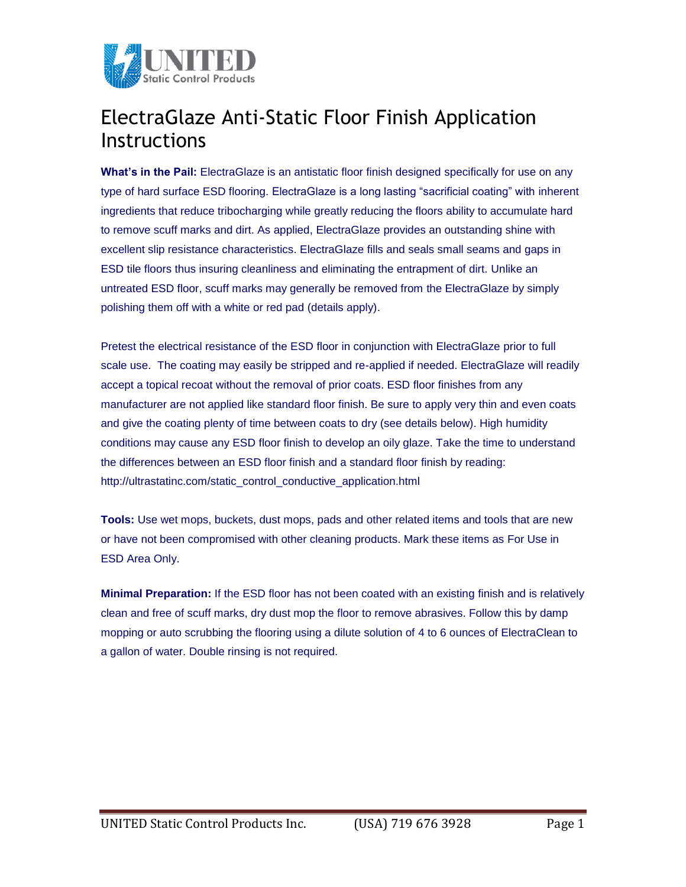

## ElectraGlaze Anti-Static Floor Finish Application Instructions

**What's in the Pail:** ElectraGlaze is an antistatic floor finish designed specifically for use on any type of hard surface ESD flooring. ElectraGlaze is a long lasting "sacrificial coating" with inherent ingredients that reduce tribocharging while greatly reducing the floors ability to accumulate hard to remove scuff marks and dirt. As applied, ElectraGlaze provides an outstanding shine with excellent slip resistance characteristics. ElectraGlaze fills and seals small seams and gaps in ESD tile floors thus insuring cleanliness and eliminating the entrapment of dirt. Unlike an untreated ESD floor, scuff marks may generally be removed from the ElectraGlaze by simply polishing them off with a white or red pad (details apply).

Pretest the electrical resistance of the ESD floor in conjunction with ElectraGlaze prior to full scale use. The coating may easily be stripped and re-applied if needed. ElectraGlaze will readily accept a topical recoat without the removal of prior coats. ESD floor finishes from any manufacturer are not applied like standard floor finish. Be sure to apply very thin and even coats and give the coating plenty of time between coats to dry (see details below). High humidity conditions may cause any ESD floor finish to develop an oily glaze. Take the time to understand the differences between an ESD floor finish and a standard floor finish by reading: http://ultrastatinc.com/static\_control\_conductive\_application.html

**Tools:** Use wet mops, buckets, dust mops, pads and other related items and tools that are new or have not been compromised with other cleaning products. Mark these items as For Use in ESD Area Only.

**Minimal Preparation:** If the ESD floor has not been coated with an existing finish and is relatively clean and free of scuff marks, dry dust mop the floor to remove abrasives. Follow this by damp mopping or auto scrubbing the flooring using a dilute solution of 4 to 6 ounces of ElectraClean to a gallon of water. Double rinsing is not required.